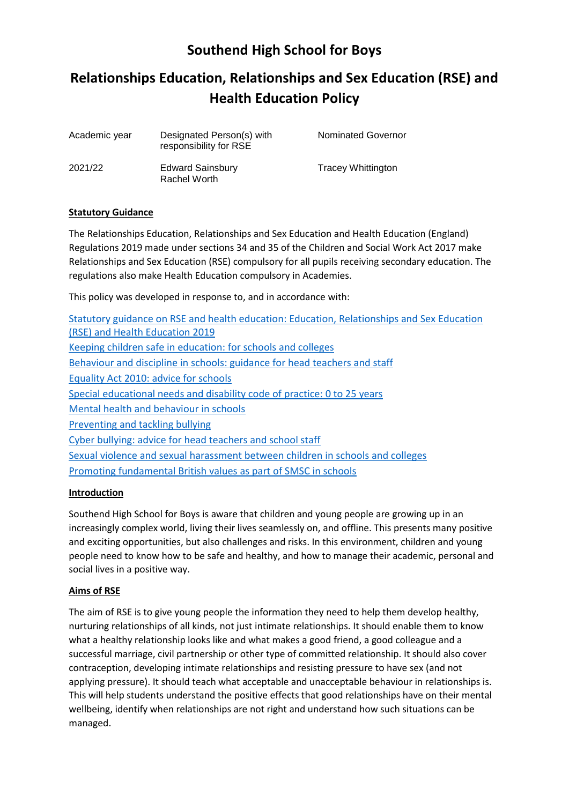# **Southend High School for Boys**

# **Relationships Education, Relationships and Sex Education (RSE) and Health Education Policy**

| Academic year | Designated Person(s) with<br>responsibility for RSE | Nominated Governor        |
|---------------|-----------------------------------------------------|---------------------------|
| 2021/22       | <b>Edward Sainsbury</b><br>Rachel Worth             | <b>Tracey Whittington</b> |

#### **Statutory Guidance**

The Relationships Education, Relationships and Sex Education and Health Education (England) Regulations 2019 made under sections 34 and 35 of the Children and Social Work Act 2017 make Relationships and Sex Education (RSE) compulsory for all pupils receiving secondary education. The regulations also make Health Education compulsory in Academies.

This policy was developed in response to, and in accordance with:

[Statutory guidance on RSE and health education: Education, Relationships and Sex Education](https://assets.publishing.service.gov.uk/government/uploads/system/uploads/attachment_data/file/780768/Government_Response_to_RSE_Consultation.pdf)  [\(RSE\) and Health Education 2019](https://assets.publishing.service.gov.uk/government/uploads/system/uploads/attachment_data/file/780768/Government_Response_to_RSE_Consultation.pdf) [Keeping children safe in education: for schools and colleges](https://assets.publishing.service.gov.uk/government/uploads/system/uploads/attachment_data/file/741314/Keeping_Children_Safe_in_Education__3_September_2018_14.09.18.pdf) [Behaviour and discipline in schools: guidance for head teachers](https://assets.publishing.service.gov.uk/government/uploads/system/uploads/attachment_data/file/488034/Behaviour_and_Discipline_in_Schools_-_A_guide_for_headteachers_and_School_Staff.pdf) and staff [Equality Act 2010: advice for schools](https://assets.publishing.service.gov.uk/government/uploads/system/uploads/attachment_data/file/315587/Equality_Act_Advice_Final.pdf) [Special educational needs and disability code of practice: 0 to 25 years](https://assets.publishing.service.gov.uk/government/uploads/system/uploads/attachment_data/file/398815/SEND_Code_of_Practice_January_2015.pdf) [Mental health and behaviour in schools](https://assets.publishing.service.gov.uk/government/uploads/system/uploads/attachment_data/file/755135/Mental_health_and_behaviour_in_schools__.pdf) [Preventing and tackling bullying](https://assets.publishing.service.gov.uk/government/uploads/system/uploads/attachment_data/file/623895/Preventing_and_tackling_bullying_advice.pdf) [Cyber bullying: advice for head teachers](https://assets.publishing.service.gov.uk/government/uploads/system/uploads/attachment_data/file/374850/Cyberbullying_Advice_for_Headteachers_and_School_Staff_121114.pdf) and school staff [Sexual violence and sexual harassment between children in schools and colleges](https://assets.publishing.service.gov.uk/government/uploads/system/uploads/attachment_data/file/719902/Sexual_violence_and_sexual_harassment_between_children_in_schools_and_colleges.pdf) [Promoting fundamental British values as part of SMSC in schools](https://assets.publishing.service.gov.uk/government/uploads/system/uploads/attachment_data/file/380595/SMSC_Guidance_Maintained_Schools.pdf)

# **Introduction**

Southend High School for Boys is aware that children and young people are growing up in an increasingly complex world, living their lives seamlessly on, and offline. This presents many positive and exciting opportunities, but also challenges and risks. In this environment, children and young people need to know how to be safe and healthy, and how to manage their academic, personal and social lives in a positive way.

# **Aims of RSE**

The aim of RSE is to give young people the information they need to help them develop healthy, nurturing relationships of all kinds, not just intimate relationships. It should enable them to know what a healthy relationship looks like and what makes a good friend, a good colleague and a successful marriage, civil partnership or other type of committed relationship. It should also cover contraception, developing intimate relationships and resisting pressure to have sex (and not applying pressure). It should teach what acceptable and unacceptable behaviour in relationships is. This will help students understand the positive effects that good relationships have on their mental wellbeing, identify when relationships are not right and understand how such situations can be managed.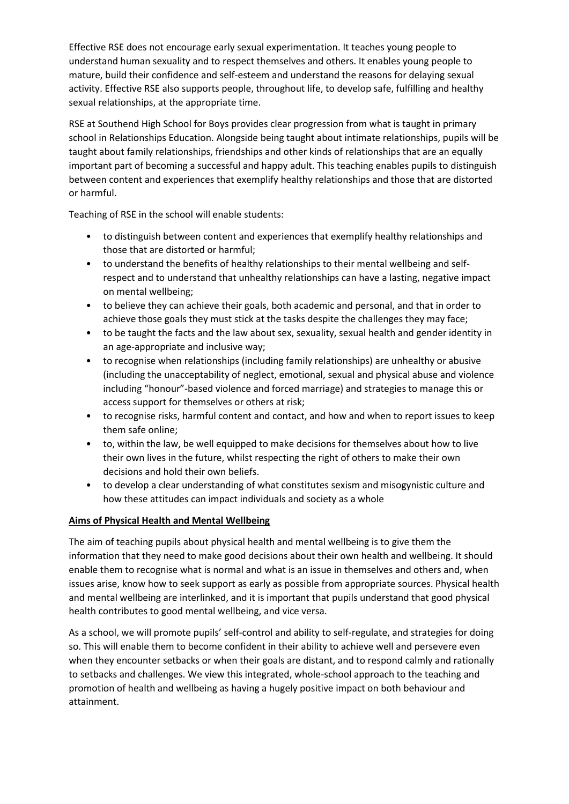Effective RSE does not encourage early sexual experimentation. It teaches young people to understand human sexuality and to respect themselves and others. It enables young people to mature, build their confidence and self-esteem and understand the reasons for delaying sexual activity. Effective RSE also supports people, throughout life, to develop safe, fulfilling and healthy sexual relationships, at the appropriate time.

RSE at Southend High School for Boys provides clear progression from what is taught in primary school in Relationships Education. Alongside being taught about intimate relationships, pupils will be taught about family relationships, friendships and other kinds of relationships that are an equally important part of becoming a successful and happy adult. This teaching enables pupils to distinguish between content and experiences that exemplify healthy relationships and those that are distorted or harmful.

Teaching of RSE in the school will enable students:

- to distinguish between content and experiences that exemplify healthy relationships and those that are distorted or harmful;
- to understand the benefits of healthy relationships to their mental wellbeing and selfrespect and to understand that unhealthy relationships can have a lasting, negative impact on mental wellbeing;
- to believe they can achieve their goals, both academic and personal, and that in order to achieve those goals they must stick at the tasks despite the challenges they may face;
- to be taught the facts and the law about sex, sexuality, sexual health and gender identity in an age-appropriate and inclusive way;
- to recognise when relationships (including family relationships) are unhealthy or abusive (including the unacceptability of neglect, emotional, sexual and physical abuse and violence including "honour"-based violence and forced marriage) and strategies to manage this or access support for themselves or others at risk;
- to recognise risks, harmful content and contact, and how and when to report issues to keep them safe online;
- to, within the law, be well equipped to make decisions for themselves about how to live their own lives in the future, whilst respecting the right of others to make their own decisions and hold their own beliefs.
- to develop a clear understanding of what constitutes sexism and misogynistic culture and how these attitudes can impact individuals and society as a whole

# **Aims of Physical Health and Mental Wellbeing**

The aim of teaching pupils about physical health and mental wellbeing is to give them the information that they need to make good decisions about their own health and wellbeing. It should enable them to recognise what is normal and what is an issue in themselves and others and, when issues arise, know how to seek support as early as possible from appropriate sources. Physical health and mental wellbeing are interlinked, and it is important that pupils understand that good physical health contributes to good mental wellbeing, and vice versa.

As a school, we will promote pupils' self-control and ability to self-regulate, and strategies for doing so. This will enable them to become confident in their ability to achieve well and persevere even when they encounter setbacks or when their goals are distant, and to respond calmly and rationally to setbacks and challenges. We view this integrated, whole-school approach to the teaching and promotion of health and wellbeing as having a hugely positive impact on both behaviour and attainment.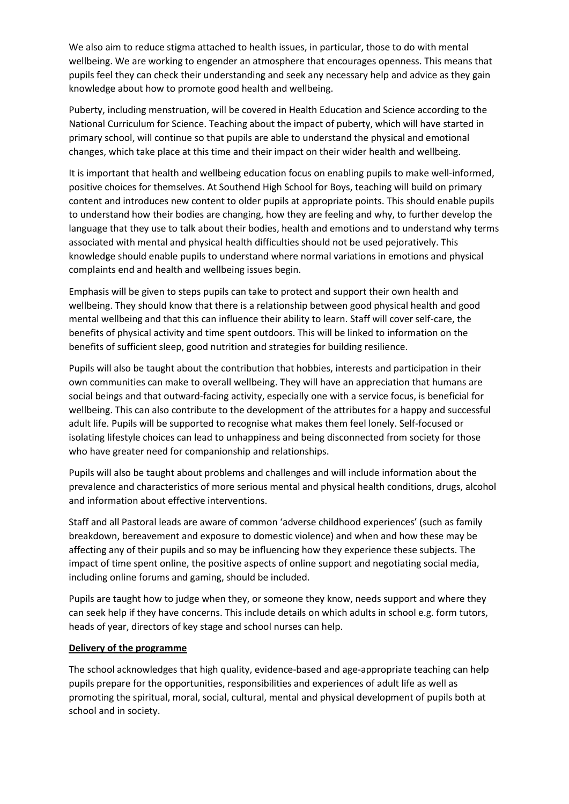We also aim to reduce stigma attached to health issues, in particular, those to do with mental wellbeing. We are working to engender an atmosphere that encourages openness. This means that pupils feel they can check their understanding and seek any necessary help and advice as they gain knowledge about how to promote good health and wellbeing.

Puberty, including menstruation, will be covered in Health Education and Science according to the National Curriculum for Science. Teaching about the impact of puberty, which will have started in primary school, will continue so that pupils are able to understand the physical and emotional changes, which take place at this time and their impact on their wider health and wellbeing.

It is important that health and wellbeing education focus on enabling pupils to make well-informed, positive choices for themselves. At Southend High School for Boys, teaching will build on primary content and introduces new content to older pupils at appropriate points. This should enable pupils to understand how their bodies are changing, how they are feeling and why, to further develop the language that they use to talk about their bodies, health and emotions and to understand why terms associated with mental and physical health difficulties should not be used pejoratively. This knowledge should enable pupils to understand where normal variations in emotions and physical complaints end and health and wellbeing issues begin.

Emphasis will be given to steps pupils can take to protect and support their own health and wellbeing. They should know that there is a relationship between good physical health and good mental wellbeing and that this can influence their ability to learn. Staff will cover self-care, the benefits of physical activity and time spent outdoors. This will be linked to information on the benefits of sufficient sleep, good nutrition and strategies for building resilience.

Pupils will also be taught about the contribution that hobbies, interests and participation in their own communities can make to overall wellbeing. They will have an appreciation that humans are social beings and that outward-facing activity, especially one with a service focus, is beneficial for wellbeing. This can also contribute to the development of the attributes for a happy and successful adult life. Pupils will be supported to recognise what makes them feel lonely. Self-focused or isolating lifestyle choices can lead to unhappiness and being disconnected from society for those who have greater need for companionship and relationships.

Pupils will also be taught about problems and challenges and will include information about the prevalence and characteristics of more serious mental and physical health conditions, drugs, alcohol and information about effective interventions.

Staff and all Pastoral leads are aware of common 'adverse childhood experiences' (such as family breakdown, bereavement and exposure to domestic violence) and when and how these may be affecting any of their pupils and so may be influencing how they experience these subjects. The impact of time spent online, the positive aspects of online support and negotiating social media, including online forums and gaming, should be included.

Pupils are taught how to judge when they, or someone they know, needs support and where they can seek help if they have concerns. This include details on which adults in school e.g. form tutors, heads of year, directors of key stage and school nurses can help.

#### **Delivery of the programme**

The school acknowledges that high quality, evidence-based and age-appropriate teaching can help pupils prepare for the opportunities, responsibilities and experiences of adult life as well as promoting the spiritual, moral, social, cultural, mental and physical development of pupils both at school and in society.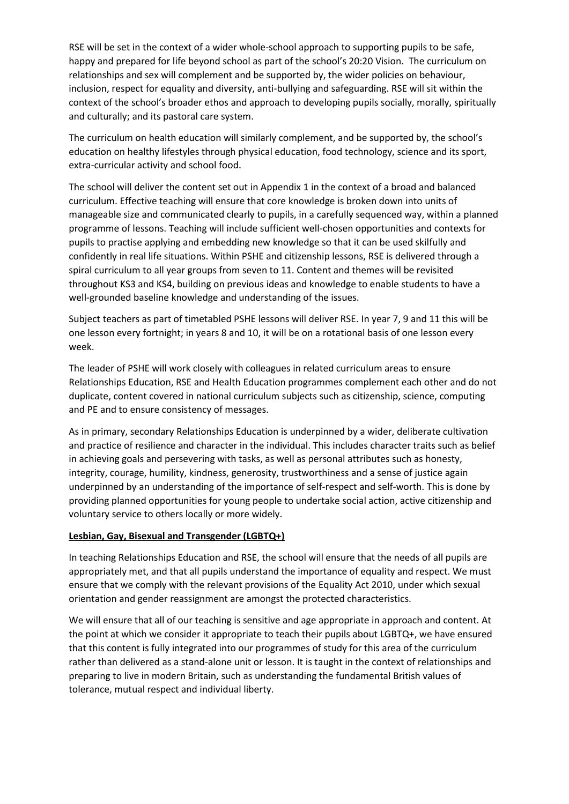RSE will be set in the context of a wider whole-school approach to supporting pupils to be safe, happy and prepared for life beyond school as part of the school's 20:20 Vision. The curriculum on relationships and sex will complement and be supported by, the wider policies on behaviour, inclusion, respect for equality and diversity, anti-bullying and safeguarding. RSE will sit within the context of the school's broader ethos and approach to developing pupils socially, morally, spiritually and culturally; and its pastoral care system.

The curriculum on health education will similarly complement, and be supported by, the school's education on healthy lifestyles through physical education, food technology, science and its sport, extra-curricular activity and school food.

The school will deliver the content set out in Appendix 1 in the context of a broad and balanced curriculum. Effective teaching will ensure that core knowledge is broken down into units of manageable size and communicated clearly to pupils, in a carefully sequenced way, within a planned programme of lessons. Teaching will include sufficient well-chosen opportunities and contexts for pupils to practise applying and embedding new knowledge so that it can be used skilfully and confidently in real life situations. Within PSHE and citizenship lessons, RSE is delivered through a spiral curriculum to all year groups from seven to 11. Content and themes will be revisited throughout KS3 and KS4, building on previous ideas and knowledge to enable students to have a well-grounded baseline knowledge and understanding of the issues.

Subject teachers as part of timetabled PSHE lessons will deliver RSE. In year 7, 9 and 11 this will be one lesson every fortnight; in years 8 and 10, it will be on a rotational basis of one lesson every week.

The leader of PSHE will work closely with colleagues in related curriculum areas to ensure Relationships Education, RSE and Health Education programmes complement each other and do not duplicate, content covered in national curriculum subjects such as citizenship, science, computing and PE and to ensure consistency of messages.

As in primary, secondary Relationships Education is underpinned by a wider, deliberate cultivation and practice of resilience and character in the individual. This includes character traits such as belief in achieving goals and persevering with tasks, as well as personal attributes such as honesty, integrity, courage, humility, kindness, generosity, trustworthiness and a sense of justice again underpinned by an understanding of the importance of self-respect and self-worth. This is done by providing planned opportunities for young people to undertake social action, active citizenship and voluntary service to others locally or more widely.

#### **Lesbian, Gay, Bisexual and Transgender (LGBTQ+)**

In teaching Relationships Education and RSE, the school will ensure that the needs of all pupils are appropriately met, and that all pupils understand the importance of equality and respect. We must ensure that we comply with the relevant provisions of the Equality Act 2010, under which sexual orientation and gender reassignment are amongst the protected characteristics.

We will ensure that all of our teaching is sensitive and age appropriate in approach and content. At the point at which we consider it appropriate to teach their pupils about LGBTQ+, we have ensured that this content is fully integrated into our programmes of study for this area of the curriculum rather than delivered as a stand-alone unit or lesson. It is taught in the context of relationships and preparing to live in modern Britain, such as understanding the fundamental British values of tolerance, mutual respect and individual liberty.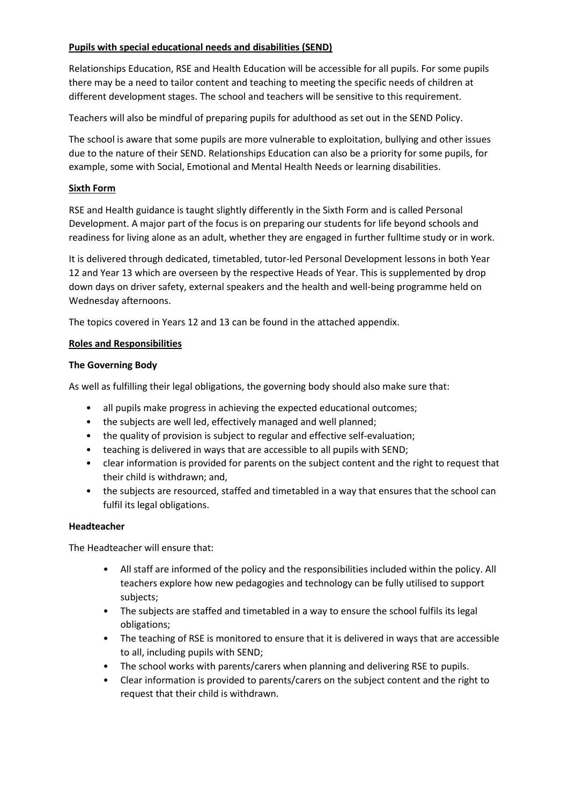# **Pupils with special educational needs and disabilities (SEND)**

Relationships Education, RSE and Health Education will be accessible for all pupils. For some pupils there may be a need to tailor content and teaching to meeting the specific needs of children at different development stages. The school and teachers will be sensitive to this requirement.

Teachers will also be mindful of preparing pupils for adulthood as set out in the SEND Policy.

The school is aware that some pupils are more vulnerable to exploitation, bullying and other issues due to the nature of their SEND. Relationships Education can also be a priority for some pupils, for example, some with Social, Emotional and Mental Health Needs or learning disabilities.

### **Sixth Form**

RSE and Health guidance is taught slightly differently in the Sixth Form and is called Personal Development. A major part of the focus is on preparing our students for life beyond schools and readiness for living alone as an adult, whether they are engaged in further fulltime study or in work.

It is delivered through dedicated, timetabled, tutor-led Personal Development lessons in both Year 12 and Year 13 which are overseen by the respective Heads of Year. This is supplemented by drop down days on driver safety, external speakers and the health and well-being programme held on Wednesday afternoons.

The topics covered in Years 12 and 13 can be found in the attached appendix.

#### **Roles and Responsibilities**

#### **The Governing Body**

As well as fulfilling their legal obligations, the governing body should also make sure that:

- all pupils make progress in achieving the expected educational outcomes;
- the subjects are well led, effectively managed and well planned;
- the quality of provision is subject to regular and effective self-evaluation;
- teaching is delivered in ways that are accessible to all pupils with SEND;
- clear information is provided for parents on the subject content and the right to request that their child is withdrawn; and,
- the subjects are resourced, staffed and timetabled in a way that ensures that the school can fulfil its legal obligations.

#### **Headteacher**

The Headteacher will ensure that:

- All staff are informed of the policy and the responsibilities included within the policy. All teachers explore how new pedagogies and technology can be fully utilised to support subjects;
- The subjects are staffed and timetabled in a way to ensure the school fulfils its legal obligations;
- The teaching of RSE is monitored to ensure that it is delivered in ways that are accessible to all, including pupils with SEND;
- The school works with parents/carers when planning and delivering RSE to pupils.
- Clear information is provided to parents/carers on the subject content and the right to request that their child is withdrawn.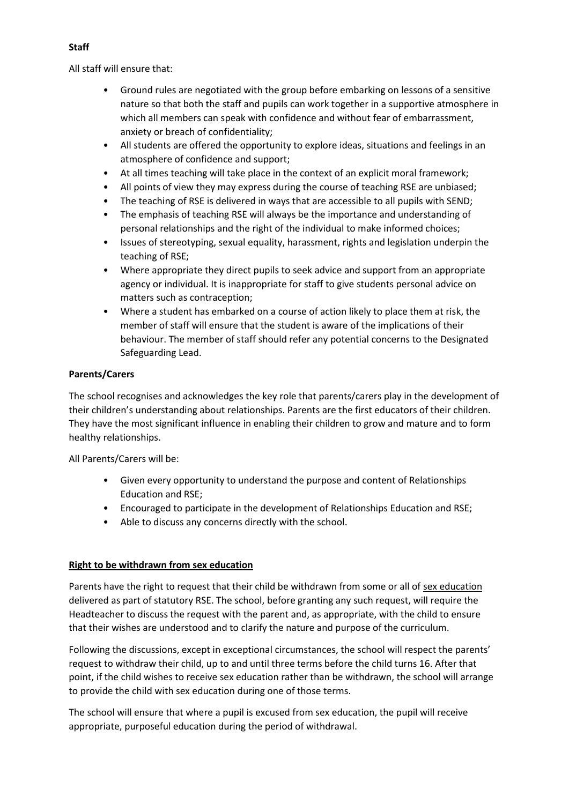# All staff will ensure that:

- Ground rules are negotiated with the group before embarking on lessons of a sensitive nature so that both the staff and pupils can work together in a supportive atmosphere in which all members can speak with confidence and without fear of embarrassment, anxiety or breach of confidentiality;
- All students are offered the opportunity to explore ideas, situations and feelings in an atmosphere of confidence and support;
- At all times teaching will take place in the context of an explicit moral framework;
- All points of view they may express during the course of teaching RSE are unbiased;
- The teaching of RSE is delivered in ways that are accessible to all pupils with SEND;
- The emphasis of teaching RSE will always be the importance and understanding of personal relationships and the right of the individual to make informed choices;
- Issues of stereotyping, sexual equality, harassment, rights and legislation underpin the teaching of RSE;
- Where appropriate they direct pupils to seek advice and support from an appropriate agency or individual. It is inappropriate for staff to give students personal advice on matters such as contraception;
- Where a student has embarked on a course of action likely to place them at risk, the member of staff will ensure that the student is aware of the implications of their behaviour. The member of staff should refer any potential concerns to the Designated Safeguarding Lead.

# **Parents/Carers**

The school recognises and acknowledges the key role that parents/carers play in the development of their children's understanding about relationships. Parents are the first educators of their children. They have the most significant influence in enabling their children to grow and mature and to form healthy relationships.

All Parents/Carers will be:

- Given every opportunity to understand the purpose and content of Relationships Education and RSE;
- Encouraged to participate in the development of Relationships Education and RSE;
- Able to discuss any concerns directly with the school.

#### **Right to be withdrawn from sex education**

Parents have the right to request that their child be withdrawn from some or all of sex education delivered as part of statutory RSE. The school, before granting any such request, will require the Headteacher to discuss the request with the parent and, as appropriate, with the child to ensure that their wishes are understood and to clarify the nature and purpose of the curriculum.

Following the discussions, except in exceptional circumstances, the school will respect the parents' request to withdraw their child, up to and until three terms before the child turns 16. After that point, if the child wishes to receive sex education rather than be withdrawn, the school will arrange to provide the child with sex education during one of those terms.

The school will ensure that where a pupil is excused from sex education, the pupil will receive appropriate, purposeful education during the period of withdrawal.

#### **Staff**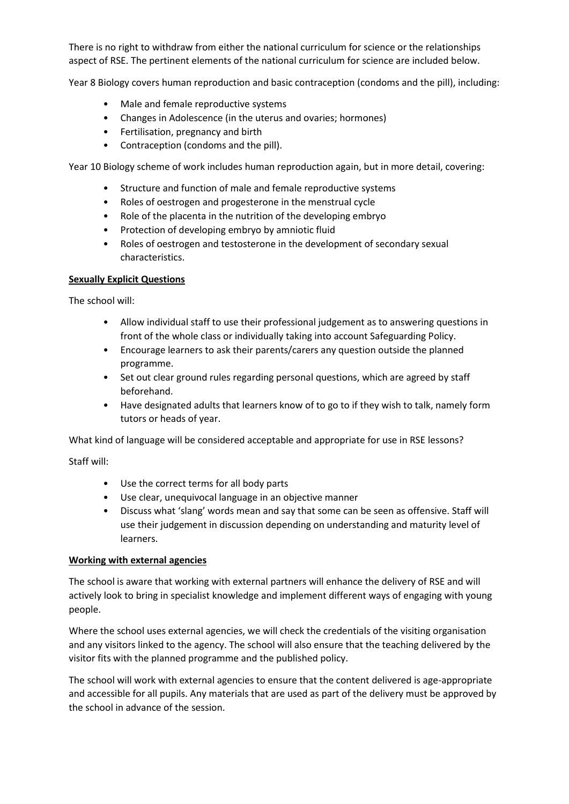There is no right to withdraw from either the national curriculum for science or the relationships aspect of RSE. The pertinent elements of the national curriculum for science are included below.

Year 8 Biology covers human reproduction and basic contraception (condoms and the pill), including:

- Male and female reproductive systems
- Changes in Adolescence (in the uterus and ovaries; hormones)
- Fertilisation, pregnancy and birth
- Contraception (condoms and the pill).

Year 10 Biology scheme of work includes human reproduction again, but in more detail, covering:

- Structure and function of male and female reproductive systems
- Roles of oestrogen and progesterone in the menstrual cycle
- Role of the placenta in the nutrition of the developing embryo
- Protection of developing embryo by amniotic fluid
- Roles of oestrogen and testosterone in the development of secondary sexual characteristics.

#### **Sexually Explicit Questions**

The school will:

- Allow individual staff to use their professional judgement as to answering questions in front of the whole class or individually taking into account Safeguarding Policy.
- Encourage learners to ask their parents/carers any question outside the planned programme.
- Set out clear ground rules regarding personal questions, which are agreed by staff beforehand.
- Have designated adults that learners know of to go to if they wish to talk, namely form tutors or heads of year.

What kind of language will be considered acceptable and appropriate for use in RSE lessons?

Staff will:

- Use the correct terms for all body parts
- Use clear, unequivocal language in an objective manner
- Discuss what 'slang' words mean and say that some can be seen as offensive. Staff will use their judgement in discussion depending on understanding and maturity level of learners.

#### **Working with external agencies**

The school is aware that working with external partners will enhance the delivery of RSE and will actively look to bring in specialist knowledge and implement different ways of engaging with young people.

Where the school uses external agencies, we will check the credentials of the visiting organisation and any visitors linked to the agency. The school will also ensure that the teaching delivered by the visitor fits with the planned programme and the published policy.

The school will work with external agencies to ensure that the content delivered is age-appropriate and accessible for all pupils. Any materials that are used as part of the delivery must be approved by the school in advance of the session.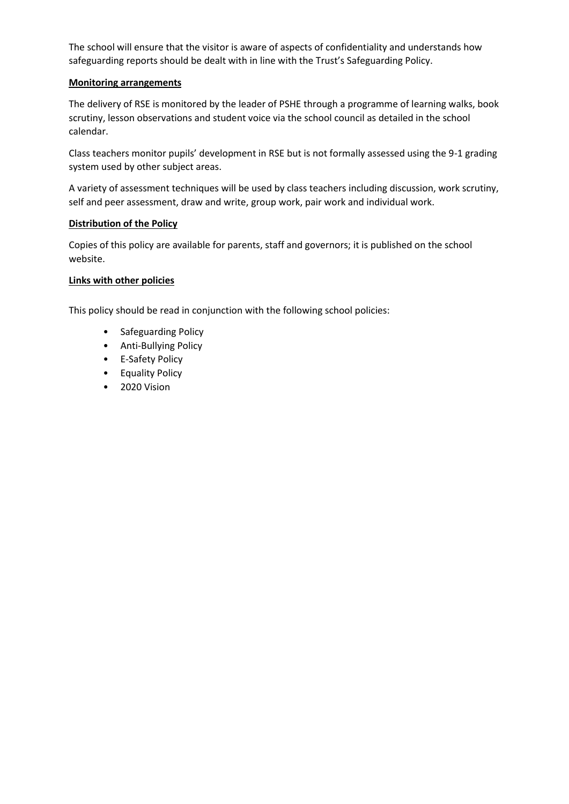The school will ensure that the visitor is aware of aspects of confidentiality and understands how safeguarding reports should be dealt with in line with the Trust's Safeguarding Policy.

#### **Monitoring arrangements**

The delivery of RSE is monitored by the leader of PSHE through a programme of learning walks, book scrutiny, lesson observations and student voice via the school council as detailed in the school calendar.

Class teachers monitor pupils' development in RSE but is not formally assessed using the 9-1 grading system used by other subject areas.

A variety of assessment techniques will be used by class teachers including discussion, work scrutiny, self and peer assessment, draw and write, group work, pair work and individual work.

#### **Distribution of the Policy**

Copies of this policy are available for parents, staff and governors; it is published on the school website.

#### **Links with other policies**

This policy should be read in conjunction with the following school policies:

- Safeguarding Policy
- Anti-Bullying Policy
- E-Safety Policy
- Equality Policy
- 2020 Vision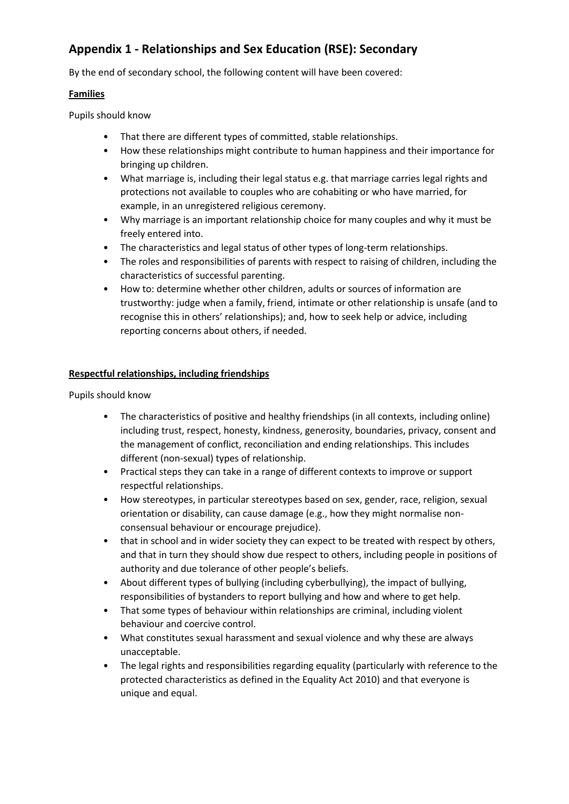# **Appendix 1 - Relationships and Sex Education (RSE): Secondary**

By the end of secondary school, the following content will have been covered:

# **Families**

Pupils should know

- That there are different types of committed, stable relationships.
- How these relationships might contribute to human happiness and their importance for bringing up children.
- What marriage is, including their legal status e.g. that marriage carries legal rights and protections not available to couples who are cohabiting or who have married, for example, in an unregistered religious ceremony.
- Why marriage is an important relationship choice for many couples and why it must be freely entered into.
- The characteristics and legal status of other types of long-term relationships.
- The roles and responsibilities of parents with respect to raising of children, including the characteristics of successful parenting.
- How to: determine whether other children, adults or sources of information are trustworthy: judge when a family, friend, intimate or other relationship is unsafe (and to recognise this in others' relationships); and, how to seek help or advice, including reporting concerns about others, if needed.

# **Respectful relationships, including friendships**

# Pupils should know

- The characteristics of positive and healthy friendships (in all contexts, including online) including trust, respect, honesty, kindness, generosity, boundaries, privacy, consent and the management of conflict, reconciliation and ending relationships. This includes different (non-sexual) types of relationship.
- Practical steps they can take in a range of different contexts to improve or support respectful relationships.
- How stereotypes, in particular stereotypes based on sex, gender, race, religion, sexual orientation or disability, can cause damage (e.g., how they might normalise nonconsensual behaviour or encourage prejudice).
- that in school and in wider society they can expect to be treated with respect by others, and that in turn they should show due respect to others, including people in positions of authority and due tolerance of other people's beliefs.
- About different types of bullying (including cyberbullying), the impact of bullying, responsibilities of bystanders to report bullying and how and where to get help.
- That some types of behaviour within relationships are criminal, including violent behaviour and coercive control.
- What constitutes sexual harassment and sexual violence and why these are always unacceptable.
- The legal rights and responsibilities regarding equality (particularly with reference to the protected characteristics as defined in the Equality Act 2010) and that everyone is unique and equal.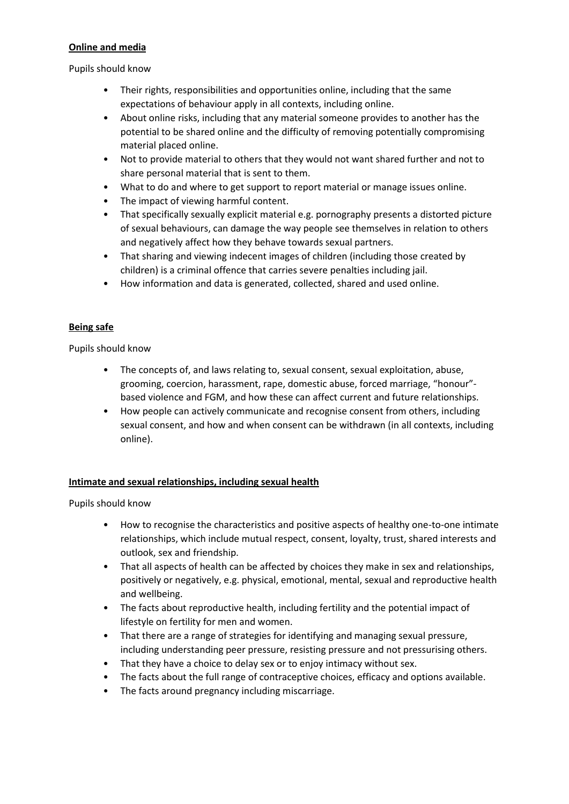#### **Online and media**

Pupils should know

- Their rights, responsibilities and opportunities online, including that the same expectations of behaviour apply in all contexts, including online.
- About online risks, including that any material someone provides to another has the potential to be shared online and the difficulty of removing potentially compromising material placed online.
- Not to provide material to others that they would not want shared further and not to share personal material that is sent to them.
- What to do and where to get support to report material or manage issues online.
- The impact of viewing harmful content.
- That specifically sexually explicit material e.g. pornography presents a distorted picture of sexual behaviours, can damage the way people see themselves in relation to others and negatively affect how they behave towards sexual partners.
- That sharing and viewing indecent images of children (including those created by children) is a criminal offence that carries severe penalties including jail.
- How information and data is generated, collected, shared and used online.

#### **Being safe**

Pupils should know

- The concepts of, and laws relating to, sexual consent, sexual exploitation, abuse, grooming, coercion, harassment, rape, domestic abuse, forced marriage, "honour" based violence and FGM, and how these can affect current and future relationships.
- How people can actively communicate and recognise consent from others, including sexual consent, and how and when consent can be withdrawn (in all contexts, including online).

#### **Intimate and sexual relationships, including sexual health**

Pupils should know

- How to recognise the characteristics and positive aspects of healthy one-to-one intimate relationships, which include mutual respect, consent, loyalty, trust, shared interests and outlook, sex and friendship.
- That all aspects of health can be affected by choices they make in sex and relationships, positively or negatively, e.g. physical, emotional, mental, sexual and reproductive health and wellbeing.
- The facts about reproductive health, including fertility and the potential impact of lifestyle on fertility for men and women.
- That there are a range of strategies for identifying and managing sexual pressure, including understanding peer pressure, resisting pressure and not pressurising others.
- That they have a choice to delay sex or to enjoy intimacy without sex.
- The facts about the full range of contraceptive choices, efficacy and options available.
- The facts around pregnancy including miscarriage.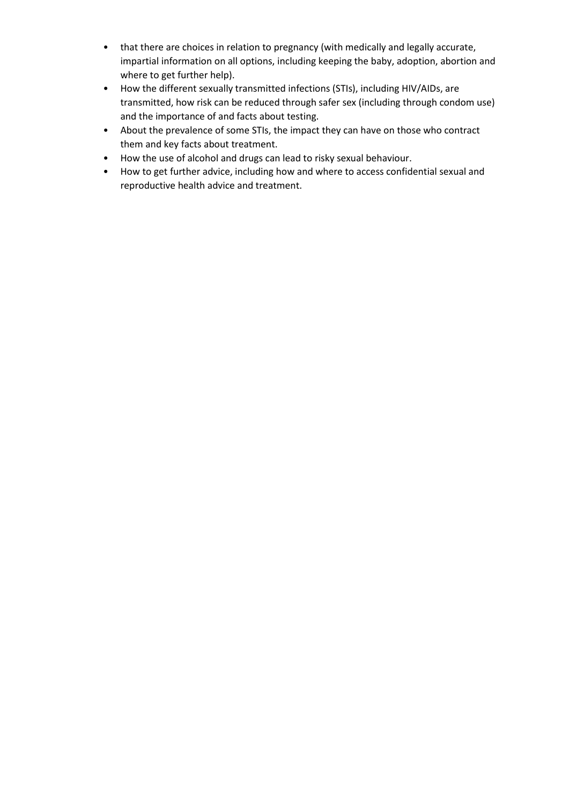- that there are choices in relation to pregnancy (with medically and legally accurate, impartial information on all options, including keeping the baby, adoption, abortion and where to get further help).
- How the different sexually transmitted infections (STIs), including HIV/AIDs, are transmitted, how risk can be reduced through safer sex (including through condom use) and the importance of and facts about testing.
- About the prevalence of some STIs, the impact they can have on those who contract them and key facts about treatment.
- How the use of alcohol and drugs can lead to risky sexual behaviour.
- How to get further advice, including how and where to access confidential sexual and reproductive health advice and treatment.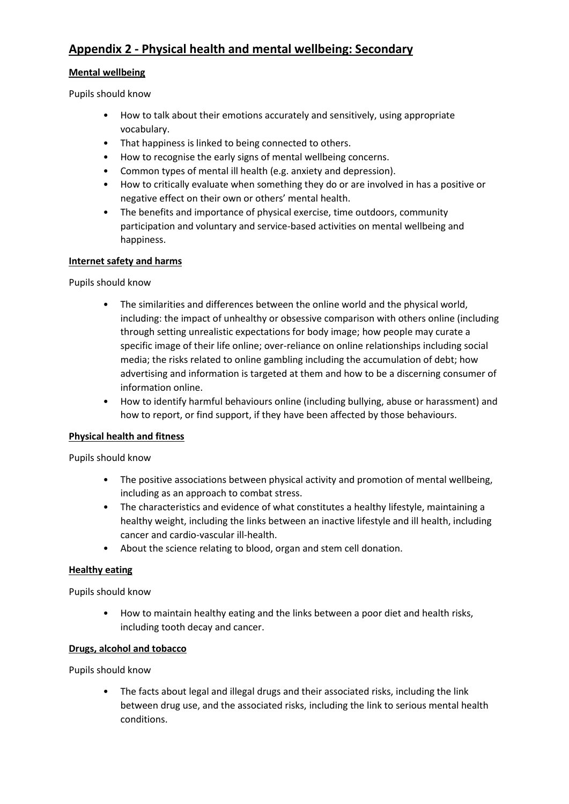# **Appendix 2 - Physical health and mental wellbeing: Secondary**

# **Mental wellbeing**

Pupils should know

- How to talk about their emotions accurately and sensitively, using appropriate vocabulary.
- That happiness is linked to being connected to others.
- How to recognise the early signs of mental wellbeing concerns.
- Common types of mental ill health (e.g. anxiety and depression).
- How to critically evaluate when something they do or are involved in has a positive or negative effect on their own or others' mental health.
- The benefits and importance of physical exercise, time outdoors, community participation and voluntary and service-based activities on mental wellbeing and happiness.

#### **Internet safety and harms**

Pupils should know

- The similarities and differences between the online world and the physical world, including: the impact of unhealthy or obsessive comparison with others online (including through setting unrealistic expectations for body image; how people may curate a specific image of their life online; over-reliance on online relationships including social media; the risks related to online gambling including the accumulation of debt; how advertising and information is targeted at them and how to be a discerning consumer of information online.
- How to identify harmful behaviours online (including bullying, abuse or harassment) and how to report, or find support, if they have been affected by those behaviours.

# **Physical health and fitness**

Pupils should know

- The positive associations between physical activity and promotion of mental wellbeing, including as an approach to combat stress.
- The characteristics and evidence of what constitutes a healthy lifestyle, maintaining a healthy weight, including the links between an inactive lifestyle and ill health, including cancer and cardio-vascular ill-health.
- About the science relating to blood, organ and stem cell donation.

#### **Healthy eating**

Pupils should know

• How to maintain healthy eating and the links between a poor diet and health risks, including tooth decay and cancer.

# **Drugs, alcohol and tobacco**

Pupils should know

• The facts about legal and illegal drugs and their associated risks, including the link between drug use, and the associated risks, including the link to serious mental health conditions.